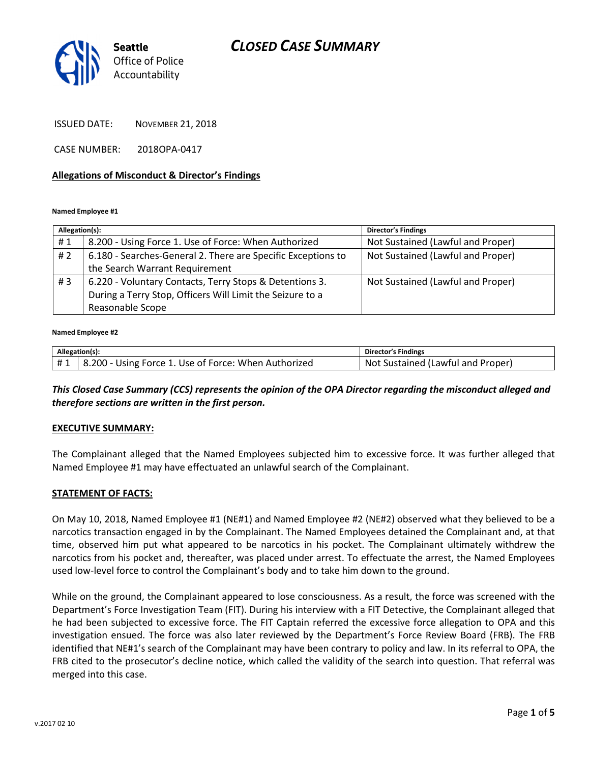# CLOSED CASE SUMMARY



ISSUED DATE: NOVEMBER 21, 2018

CASE NUMBER: 2018OPA-0417

#### Allegations of Misconduct & Director's Findings

#### Named Employee #1

| Allegation(s): |                                                              | <b>Director's Findings</b>        |
|----------------|--------------------------------------------------------------|-----------------------------------|
| #1             | 8.200 - Using Force 1. Use of Force: When Authorized         | Not Sustained (Lawful and Proper) |
| # 2            | 6.180 - Searches-General 2. There are Specific Exceptions to | Not Sustained (Lawful and Proper) |
|                | the Search Warrant Requirement                               |                                   |
| # $3$          | 6.220 - Voluntary Contacts, Terry Stops & Detentions 3.      | Not Sustained (Lawful and Proper) |
|                | During a Terry Stop, Officers Will Limit the Seizure to a    |                                   |
|                | Reasonable Scope                                             |                                   |

#### Named Employee #2

| Allegation(s): |                                                      | Director's Findings                     |
|----------------|------------------------------------------------------|-----------------------------------------|
|                | 8.200 - Using Force 1. Use of Force: When Authorized | . Sustained (Lawful and Proper)<br>-Not |

### This Closed Case Summary (CCS) represents the opinion of the OPA Director regarding the misconduct alleged and therefore sections are written in the first person.

#### EXECUTIVE SUMMARY:

The Complainant alleged that the Named Employees subjected him to excessive force. It was further alleged that Named Employee #1 may have effectuated an unlawful search of the Complainant.

#### STATEMENT OF FACTS:

On May 10, 2018, Named Employee #1 (NE#1) and Named Employee #2 (NE#2) observed what they believed to be a narcotics transaction engaged in by the Complainant. The Named Employees detained the Complainant and, at that time, observed him put what appeared to be narcotics in his pocket. The Complainant ultimately withdrew the narcotics from his pocket and, thereafter, was placed under arrest. To effectuate the arrest, the Named Employees used low-level force to control the Complainant's body and to take him down to the ground.

While on the ground, the Complainant appeared to lose consciousness. As a result, the force was screened with the Department's Force Investigation Team (FIT). During his interview with a FIT Detective, the Complainant alleged that he had been subjected to excessive force. The FIT Captain referred the excessive force allegation to OPA and this investigation ensued. The force was also later reviewed by the Department's Force Review Board (FRB). The FRB identified that NE#1's search of the Complainant may have been contrary to policy and law. In its referral to OPA, the FRB cited to the prosecutor's decline notice, which called the validity of the search into question. That referral was merged into this case.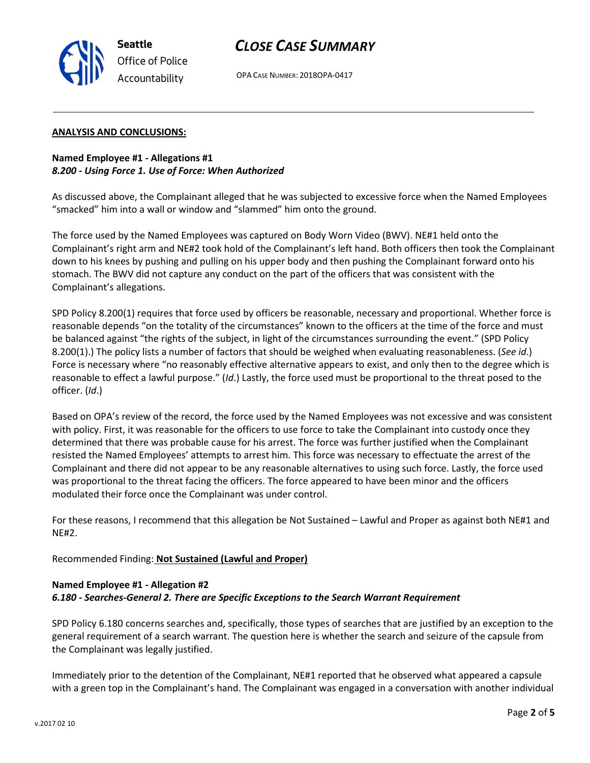

OPA CASE NUMBER: 2018OPA-0417

### ANALYSIS AND CONCLUSIONS:

Seattle

Office of Police Accountability

Named Employee #1 - Allegations #1 8.200 - Using Force 1. Use of Force: When Authorized

As discussed above, the Complainant alleged that he was subjected to excessive force when the Named Employees "smacked" him into a wall or window and "slammed" him onto the ground.

The force used by the Named Employees was captured on Body Worn Video (BWV). NE#1 held onto the Complainant's right arm and NE#2 took hold of the Complainant's left hand. Both officers then took the Complainant down to his knees by pushing and pulling on his upper body and then pushing the Complainant forward onto his stomach. The BWV did not capture any conduct on the part of the officers that was consistent with the Complainant's allegations.

SPD Policy 8.200(1) requires that force used by officers be reasonable, necessary and proportional. Whether force is reasonable depends "on the totality of the circumstances" known to the officers at the time of the force and must be balanced against "the rights of the subject, in light of the circumstances surrounding the event." (SPD Policy 8.200(1).) The policy lists a number of factors that should be weighed when evaluating reasonableness. (See id.) Force is necessary where "no reasonably effective alternative appears to exist, and only then to the degree which is reasonable to effect a lawful purpose." (Id.) Lastly, the force used must be proportional to the threat posed to the officer. (Id.)

Based on OPA's review of the record, the force used by the Named Employees was not excessive and was consistent with policy. First, it was reasonable for the officers to use force to take the Complainant into custody once they determined that there was probable cause for his arrest. The force was further justified when the Complainant resisted the Named Employees' attempts to arrest him. This force was necessary to effectuate the arrest of the Complainant and there did not appear to be any reasonable alternatives to using such force. Lastly, the force used was proportional to the threat facing the officers. The force appeared to have been minor and the officers modulated their force once the Complainant was under control.

For these reasons, I recommend that this allegation be Not Sustained – Lawful and Proper as against both NE#1 and NE#2.

Recommended Finding: Not Sustained (Lawful and Proper)

## Named Employee #1 - Allegation #2 6.180 - Searches-General 2. There are Specific Exceptions to the Search Warrant Requirement

SPD Policy 6.180 concerns searches and, specifically, those types of searches that are justified by an exception to the general requirement of a search warrant. The question here is whether the search and seizure of the capsule from the Complainant was legally justified.

Immediately prior to the detention of the Complainant, NE#1 reported that he observed what appeared a capsule with a green top in the Complainant's hand. The Complainant was engaged in a conversation with another individual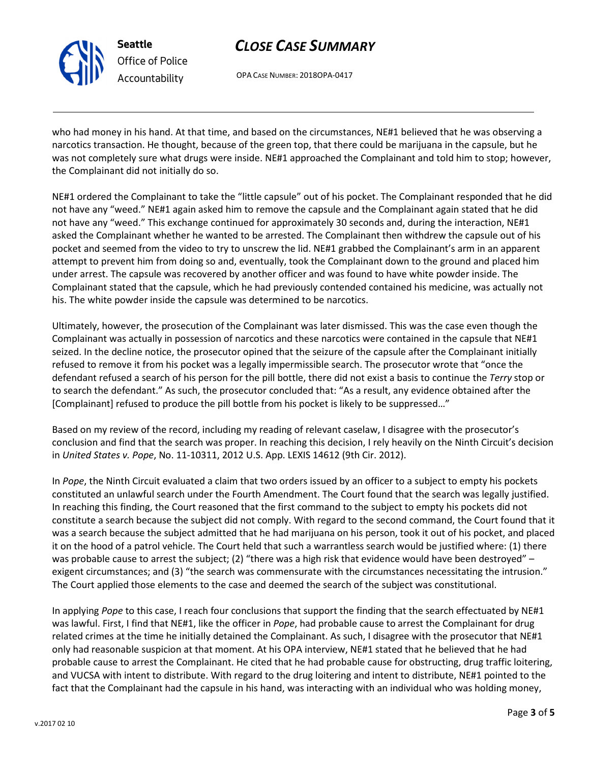

Seattle Office of Police Accountability

# CLOSE CASE SUMMARY

OPA CASE NUMBER: 2018OPA-0417

who had money in his hand. At that time, and based on the circumstances, NE#1 believed that he was observing a narcotics transaction. He thought, because of the green top, that there could be marijuana in the capsule, but he was not completely sure what drugs were inside. NE#1 approached the Complainant and told him to stop; however, the Complainant did not initially do so.

NE#1 ordered the Complainant to take the "little capsule" out of his pocket. The Complainant responded that he did not have any "weed." NE#1 again asked him to remove the capsule and the Complainant again stated that he did not have any "weed." This exchange continued for approximately 30 seconds and, during the interaction, NE#1 asked the Complainant whether he wanted to be arrested. The Complainant then withdrew the capsule out of his pocket and seemed from the video to try to unscrew the lid. NE#1 grabbed the Complainant's arm in an apparent attempt to prevent him from doing so and, eventually, took the Complainant down to the ground and placed him under arrest. The capsule was recovered by another officer and was found to have white powder inside. The Complainant stated that the capsule, which he had previously contended contained his medicine, was actually not his. The white powder inside the capsule was determined to be narcotics.

Ultimately, however, the prosecution of the Complainant was later dismissed. This was the case even though the Complainant was actually in possession of narcotics and these narcotics were contained in the capsule that NE#1 seized. In the decline notice, the prosecutor opined that the seizure of the capsule after the Complainant initially refused to remove it from his pocket was a legally impermissible search. The prosecutor wrote that "once the defendant refused a search of his person for the pill bottle, there did not exist a basis to continue the Terry stop or to search the defendant." As such, the prosecutor concluded that: "As a result, any evidence obtained after the [Complainant] refused to produce the pill bottle from his pocket is likely to be suppressed..."

Based on my review of the record, including my reading of relevant caselaw, I disagree with the prosecutor's conclusion and find that the search was proper. In reaching this decision, I rely heavily on the Ninth Circuit's decision in United States v. Pope, No. 11-10311, 2012 U.S. App. LEXIS 14612 (9th Cir. 2012).

In Pope, the Ninth Circuit evaluated a claim that two orders issued by an officer to a subject to empty his pockets constituted an unlawful search under the Fourth Amendment. The Court found that the search was legally justified. In reaching this finding, the Court reasoned that the first command to the subject to empty his pockets did not constitute a search because the subject did not comply. With regard to the second command, the Court found that it was a search because the subject admitted that he had marijuana on his person, took it out of his pocket, and placed it on the hood of a patrol vehicle. The Court held that such a warrantless search would be justified where: (1) there was probable cause to arrest the subject; (2) "there was a high risk that evidence would have been destroyed" – exigent circumstances; and (3) "the search was commensurate with the circumstances necessitating the intrusion." The Court applied those elements to the case and deemed the search of the subject was constitutional.

In applying Pope to this case, I reach four conclusions that support the finding that the search effectuated by  $NE#1$ was lawful. First, I find that NE#1, like the officer in Pope, had probable cause to arrest the Complainant for drug related crimes at the time he initially detained the Complainant. As such, I disagree with the prosecutor that NE#1 only had reasonable suspicion at that moment. At his OPA interview, NE#1 stated that he believed that he had probable cause to arrest the Complainant. He cited that he had probable cause for obstructing, drug traffic loitering, and VUCSA with intent to distribute. With regard to the drug loitering and intent to distribute, NE#1 pointed to the fact that the Complainant had the capsule in his hand, was interacting with an individual who was holding money,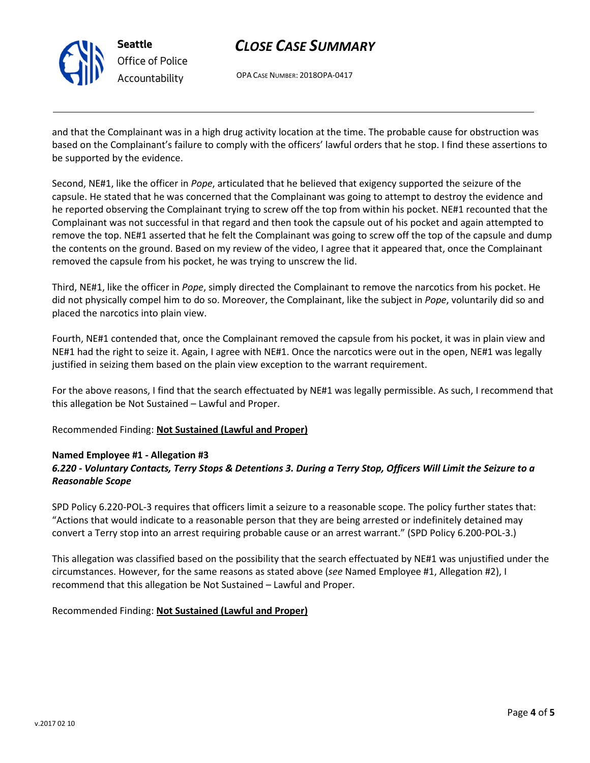

Seattle Office of Police Accountability

# CLOSE CASE SUMMARY

OPA CASE NUMBER: 2018OPA-0417

and that the Complainant was in a high drug activity location at the time. The probable cause for obstruction was based on the Complainant's failure to comply with the officers' lawful orders that he stop. I find these assertions to be supported by the evidence.

Second, NE#1, like the officer in Pope, articulated that he believed that exigency supported the seizure of the capsule. He stated that he was concerned that the Complainant was going to attempt to destroy the evidence and he reported observing the Complainant trying to screw off the top from within his pocket. NE#1 recounted that the Complainant was not successful in that regard and then took the capsule out of his pocket and again attempted to remove the top. NE#1 asserted that he felt the Complainant was going to screw off the top of the capsule and dump the contents on the ground. Based on my review of the video, I agree that it appeared that, once the Complainant removed the capsule from his pocket, he was trying to unscrew the lid.

Third, NE#1, like the officer in Pope, simply directed the Complainant to remove the narcotics from his pocket. He did not physically compel him to do so. Moreover, the Complainant, like the subject in Pope, voluntarily did so and placed the narcotics into plain view.

Fourth, NE#1 contended that, once the Complainant removed the capsule from his pocket, it was in plain view and NE#1 had the right to seize it. Again, I agree with NE#1. Once the narcotics were out in the open, NE#1 was legally justified in seizing them based on the plain view exception to the warrant requirement.

For the above reasons, I find that the search effectuated by NE#1 was legally permissible. As such, I recommend that this allegation be Not Sustained – Lawful and Proper.

Recommended Finding: Not Sustained (Lawful and Proper)

### Named Employee #1 - Allegation #3

## 6.220 - Voluntary Contacts, Terry Stops & Detentions 3. During a Terry Stop, Officers Will Limit the Seizure to a Reasonable Scope

SPD Policy 6.220-POL-3 requires that officers limit a seizure to a reasonable scope. The policy further states that: "Actions that would indicate to a reasonable person that they are being arrested or indefinitely detained may convert a Terry stop into an arrest requiring probable cause or an arrest warrant." (SPD Policy 6.200-POL-3.)

This allegation was classified based on the possibility that the search effectuated by NE#1 was unjustified under the circumstances. However, for the same reasons as stated above (see Named Employee #1, Allegation #2), I recommend that this allegation be Not Sustained – Lawful and Proper.

Recommended Finding: Not Sustained (Lawful and Proper)